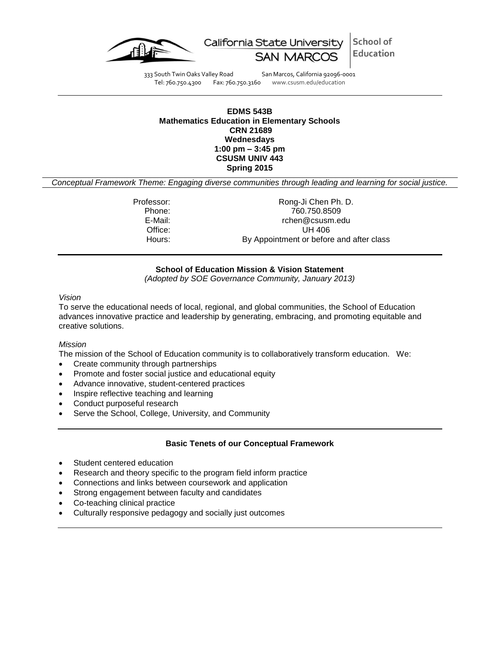



333 South Twin Oaks Valley Road San Marcos, California 92096-0001 Tel: 760.750.4300 Fax: 760.750.3160 www.csusm.edu/education

### **EDMS 543B Mathematics Education in Elementary Schools CRN 21689 Wednesdays 1:00 pm – 3:45 pm CSUSM UNIV 443 Spring 2015**

*Conceptual Framework Theme: Engaging diverse communities through leading and learning for social justice.*

Professor: Rong-Ji Chen Ph. D. Phone: 760.750.8509 E-Mail: rchen@csusm.edu Office: UH 406 Hours: By Appointment or before and after class

### **School of Education Mission & Vision Statement**

*(Adopted by SOE Governance Community, January 2013)*

#### *Vision*

To serve the educational needs of local, regional, and global communities, the School of Education advances innovative practice and leadership by generating, embracing, and promoting equitable and creative solutions.

#### *Mission*

The mission of the School of Education community is to collaboratively transform education. We:

- Create community through partnerships
- Promote and foster social justice and educational equity
- Advance innovative, student-centered practices
- Inspire reflective teaching and learning
- Conduct purposeful research
- Serve the School, College, University, and Community

#### **Basic Tenets of our Conceptual Framework**

- Student centered education
- Research and theory specific to the program field inform practice
- Connections and links between coursework and application
- Strong engagement between faculty and candidates
- Co-teaching clinical practice
- Culturally responsive pedagogy and socially just outcomes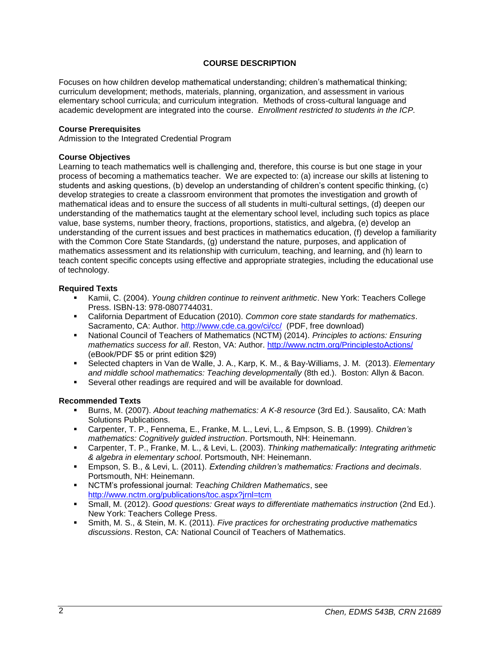# **COURSE DESCRIPTION**

Focuses on how children develop mathematical understanding; children's mathematical thinking; curriculum development; methods, materials, planning, organization, and assessment in various elementary school curricula; and curriculum integration. Methods of cross-cultural language and academic development are integrated into the course. *Enrollment restricted to students in the ICP.*

### **Course Prerequisites**

Admission to the Integrated Credential Program

# **Course Objectives**

Learning to teach mathematics well is challenging and, therefore, this course is but one stage in your process of becoming a mathematics teacher. We are expected to: (a) increase our skills at listening to students and asking questions, (b) develop an understanding of children's content specific thinking, (c) develop strategies to create a classroom environment that promotes the investigation and growth of mathematical ideas and to ensure the success of all students in multi-cultural settings, (d) deepen our understanding of the mathematics taught at the elementary school level, including such topics as place value, base systems, number theory, fractions, proportions, statistics, and algebra, (e) develop an understanding of the current issues and best practices in mathematics education, (f) develop a familiarity with the Common Core State Standards, (g) understand the nature, purposes, and application of mathematics assessment and its relationship with curriculum, teaching, and learning, and (h) learn to teach content specific concepts using effective and appropriate strategies, including the educational use of technology.

# **Required Texts**

- Kamii, C. (2004). *Young children continue to reinvent arithmetic*. New York: Teachers College Press. ISBN-13: 978-0807744031.
- California Department of Education (2010). *Common core state standards for mathematics*. Sacramento, CA: Author.<http://www.cde.ca.gov/ci/cc/>(PDF, free download)
- National Council of Teachers of Mathematics (NCTM) (2014). *Principles to actions: Ensuring mathematics success for all*. Reston, VA: Author.<http://www.nctm.org/PrinciplestoActions/> (eBook/PDF \$5 or print edition \$29)
- Selected chapters in Van de Walle, J. A., Karp, K. M., & Bay-Williams, J. M. (2013). *Elementary and middle school mathematics: Teaching developmentally* (8th ed.). Boston: Allyn & Bacon.
- Several other readings are required and will be available for download.

# **Recommended Texts**

- Burns, M. (2007). *About teaching mathematics: A K-8 resource* (3rd Ed.). Sausalito, CA: Math Solutions Publications.
- Carpenter, T. P., Fennema, E., Franke, M. L., Levi, L., & Empson, S. B. (1999). *Children's mathematics: Cognitively guided instruction*. Portsmouth, NH: Heinemann.
- Carpenter, T. P., Franke, M. L., & Levi, L. (2003). *Thinking mathematically: Integrating arithmetic & algebra in elementary school*. Portsmouth, NH: Heinemann.
- Empson, S. B., & Levi, L. (2011). *Extending children's mathematics: Fractions and decimals*. Portsmouth, NH: Heinemann.
- NCTM's professional journal: *Teaching Children Mathematics*, see <http://www.nctm.org/publications/toc.aspx?jrnl=tcm>
- Small, M. (2012). *Good questions: Great ways to differentiate mathematics instruction* (2nd Ed.). New York: Teachers College Press.
- Smith, M. S., & Stein, M. K. (2011). *Five practices for orchestrating productive mathematics discussions*. Reston, CA: National Council of Teachers of Mathematics.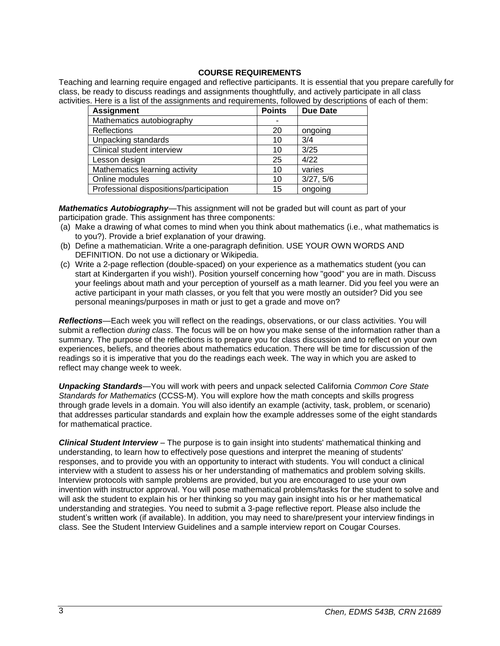# **COURSE REQUIREMENTS**

Teaching and learning require engaged and reflective participants. It is essential that you prepare carefully for class, be ready to discuss readings and assignments thoughtfully, and actively participate in all class activities. Here is a list of the assignments and requirements, followed by descriptions of each of them:

| <b>Assignment</b>                       | <b>Points</b> | <b>Due Date</b> |
|-----------------------------------------|---------------|-----------------|
| Mathematics autobiography               |               |                 |
| Reflections                             | 20            | ongoing         |
| Unpacking standards                     | 10            | 3/4             |
| Clinical student interview              | 10            | 3/25            |
| Lesson design                           | 25            | 4/22            |
| Mathematics learning activity           | 10            | varies          |
| Online modules                          | 10            | 3/27, 5/6       |
| Professional dispositions/participation | 15            | ongoing         |

*Mathematics Autobiography*—This assignment will not be graded but will count as part of your participation grade. This assignment has three components:

- (a) Make a drawing of what comes to mind when you think about mathematics (i.e., what mathematics is to you?). Provide a brief explanation of your drawing.
- (b) Define a mathematician. Write a one-paragraph definition. USE YOUR OWN WORDS AND DEFINITION. Do not use a dictionary or Wikipedia.
- (c) Write a 2-page reflection (double-spaced) on your experience as a mathematics student (you can start at Kindergarten if you wish!). Position yourself concerning how "good" you are in math. Discuss your feelings about math and your perception of yourself as a math learner. Did you feel you were an active participant in your math classes, or you felt that you were mostly an outsider? Did you see personal meanings/purposes in math or just to get a grade and move on?

*Reflections*—Each week you will reflect on the readings, observations, or our class activities. You will submit a reflection *during class*. The focus will be on how you make sense of the information rather than a summary. The purpose of the reflections is to prepare you for class discussion and to reflect on your own experiences, beliefs, and theories about mathematics education. There will be time for discussion of the readings so it is imperative that you do the readings each week. The way in which you are asked to reflect may change week to week.

*Unpacking Standards*—You will work with peers and unpack selected California *Common Core State Standards for Mathematics* (CCSS-M). You will explore how the math concepts and skills progress through grade levels in a domain. You will also identify an example (activity, task, problem, or scenario) that addresses particular standards and explain how the example addresses some of the eight standards for mathematical practice.

*Clinical Student Interview* – The purpose is to gain insight into students' mathematical thinking and understanding, to learn how to effectively pose questions and interpret the meaning of students' responses, and to provide you with an opportunity to interact with students. You will conduct a clinical interview with a student to assess his or her understanding of mathematics and problem solving skills. Interview protocols with sample problems are provided, but you are encouraged to use your own invention with instructor approval. You will pose mathematical problems/tasks for the student to solve and will ask the student to explain his or her thinking so you may gain insight into his or her mathematical understanding and strategies. You need to submit a 3-page reflective report. Please also include the student's written work (if available). In addition, you may need to share/present your interview findings in class. See the Student Interview Guidelines and a sample interview report on Cougar Courses.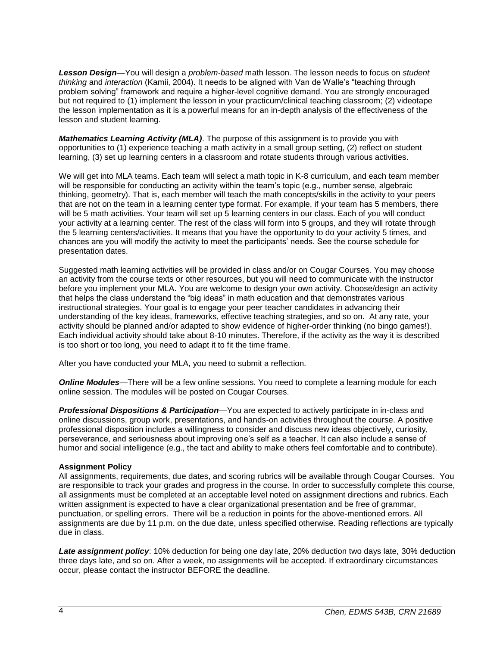*Lesson Design*—You will design a *problem-based* math lesson. The lesson needs to focus on *student thinking* and *interaction* (Kamii, 2004). It needs to be aligned with Van de Walle's "teaching through problem solving" framework and require a higher-level cognitive demand. You are strongly encouraged but not required to (1) implement the lesson in your practicum/clinical teaching classroom; (2) videotape the lesson implementation as it is a powerful means for an in-depth analysis of the effectiveness of the lesson and student learning.

*Mathematics Learning Activity (MLA)*. The purpose of this assignment is to provide you with opportunities to (1) experience teaching a math activity in a small group setting, (2) reflect on student learning, (3) set up learning centers in a classroom and rotate students through various activities.

We will get into MLA teams. Each team will select a math topic in K-8 curriculum, and each team member will be responsible for conducting an activity within the team's topic (e.g., number sense, algebraic thinking, geometry). That is, each member will teach the math concepts/skills in the activity to your peers that are not on the team in a learning center type format. For example, if your team has 5 members, there will be 5 math activities. Your team will set up 5 learning centers in our class. Each of you will conduct your activity at a learning center. The rest of the class will form into 5 groups, and they will rotate through the 5 learning centers/activities. It means that you have the opportunity to do your activity 5 times, and chances are you will modify the activity to meet the participants' needs. See the course schedule for presentation dates.

Suggested math learning activities will be provided in class and/or on Cougar Courses. You may choose an activity from the course texts or other resources, but you will need to communicate with the instructor before you implement your MLA. You are welcome to design your own activity. Choose/design an activity that helps the class understand the "big ideas" in math education and that demonstrates various instructional strategies. Your goal is to engage your peer teacher candidates in advancing their understanding of the key ideas, frameworks, effective teaching strategies, and so on. At any rate, your activity should be planned and/or adapted to show evidence of higher-order thinking (no bingo games!). Each individual activity should take about 8-10 minutes. Therefore, if the activity as the way it is described is too short or too long, you need to adapt it to fit the time frame.

After you have conducted your MLA, you need to submit a reflection.

**Online Modules**—There will be a few online sessions. You need to complete a learning module for each online session. The modules will be posted on Cougar Courses.

*Professional Dispositions & Participation*—You are expected to actively participate in in-class and online discussions, group work, presentations, and hands-on activities throughout the course. A positive professional disposition includes a willingness to consider and discuss new ideas objectively, curiosity, perseverance, and seriousness about improving one's self as a teacher. It can also include a sense of humor and social intelligence (e.g., the tact and ability to make others feel comfortable and to contribute).

# **Assignment Policy**

All assignments, requirements, due dates, and scoring rubrics will be available through Cougar Courses. You are responsible to track your grades and progress in the course. In order to successfully complete this course, all assignments must be completed at an acceptable level noted on assignment directions and rubrics. Each written assignment is expected to have a clear organizational presentation and be free of grammar, punctuation, or spelling errors. There will be a reduction in points for the above-mentioned errors. All assignments are due by 11 p.m. on the due date, unless specified otherwise. Reading reflections are typically due in class.

*Late assignment policy*: 10% deduction for being one day late, 20% deduction two days late, 30% deduction three days late, and so on. After a week, no assignments will be accepted. If extraordinary circumstances occur, please contact the instructor BEFORE the deadline.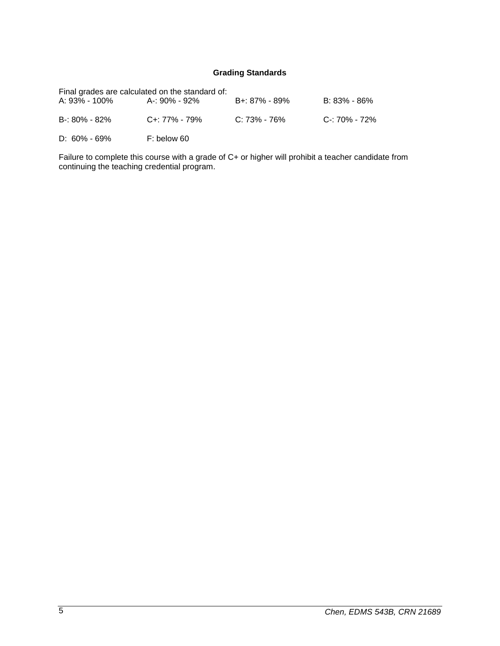# **Grading Standards**

|                   | Final grades are calculated on the standard of: |               |               |
|-------------------|-------------------------------------------------|---------------|---------------|
| A: 93% - 100%     | A-: 90% - 92%                                   | B+: 87% - 89% | B: 83% - 86%  |
| $B - 80\% - 82\%$ | $C_{+}$ : 77% - 79%                             | C: 73% - 76%  | C-: 70% - 72% |
| $D: 60\% - 69\%$  | F: below 60                                     |               |               |

Failure to complete this course with a grade of C+ or higher will prohibit a teacher candidate from continuing the teaching credential program.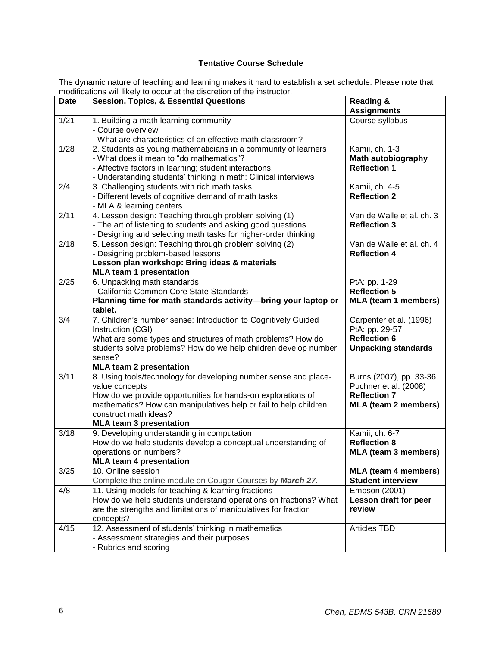# **Tentative Course Schedule**

The dynamic nature of teaching and learning makes it hard to establish a set schedule. Please note that modifications will likely to occur at the discretion of the instructor.

|             | modifications will likely to occur at the discretion of the instruction.                                                       |                                            |
|-------------|--------------------------------------------------------------------------------------------------------------------------------|--------------------------------------------|
| <b>Date</b> | <b>Session, Topics, &amp; Essential Questions</b>                                                                              | <b>Reading &amp;</b><br><b>Assignments</b> |
| 1/21        | 1. Building a math learning community                                                                                          | Course syllabus                            |
|             | - Course overview                                                                                                              |                                            |
|             | - What are characteristics of an effective math classroom?                                                                     |                                            |
| 1/28        | 2. Students as young mathematicians in a community of learners                                                                 | Kamii, ch. 1-3                             |
|             | - What does it mean to "do mathematics"?                                                                                       | <b>Math autobiography</b>                  |
|             | - Affective factors in learning; student interactions.                                                                         | <b>Reflection 1</b>                        |
|             | - Understanding students' thinking in math: Clinical interviews                                                                |                                            |
| 2/4         | 3. Challenging students with rich math tasks                                                                                   | Kamii, ch. 4-5                             |
|             | - Different levels of cognitive demand of math tasks                                                                           | <b>Reflection 2</b>                        |
| 2/11        | - MLA & learning centers                                                                                                       | Van de Walle et al. ch. 3                  |
|             | 4. Lesson design: Teaching through problem solving (1)                                                                         | <b>Reflection 3</b>                        |
|             | - The art of listening to students and asking good questions<br>- Designing and selecting math tasks for higher-order thinking |                                            |
| 2/18        | 5. Lesson design: Teaching through problem solving (2)                                                                         | Van de Walle et al. ch. 4                  |
|             | - Designing problem-based lessons                                                                                              | <b>Reflection 4</b>                        |
|             | Lesson plan workshop: Bring ideas & materials                                                                                  |                                            |
|             | <b>MLA team 1 presentation</b>                                                                                                 |                                            |
| 2/25        | 6. Unpacking math standards                                                                                                    | PtA: pp. 1-29                              |
|             | - California Common Core State Standards                                                                                       | <b>Reflection 5</b>                        |
|             | Planning time for math standards activity-bring your laptop or                                                                 | <b>MLA (team 1 members)</b>                |
|             | tablet.                                                                                                                        |                                            |
| 3/4         | 7. Children's number sense: Introduction to Cognitively Guided                                                                 | Carpenter et al. (1996)                    |
|             | Instruction (CGI)                                                                                                              | PtA: pp. 29-57                             |
|             | What are some types and structures of math problems? How do                                                                    | <b>Reflection 6</b>                        |
|             | students solve problems? How do we help children develop number                                                                | <b>Unpacking standards</b>                 |
|             | sense?                                                                                                                         |                                            |
|             | <b>MLA team 2 presentation</b>                                                                                                 |                                            |
| 3/11        | 8. Using tools/technology for developing number sense and place-                                                               | Burns (2007), pp. 33-36.                   |
|             | value concepts                                                                                                                 | Puchner et al. (2008)                      |
|             | How do we provide opportunities for hands-on explorations of                                                                   | <b>Reflection 7</b>                        |
|             | mathematics? How can manipulatives help or fail to help children<br>construct math ideas?                                      | <b>MLA (team 2 members)</b>                |
|             | <b>MLA team 3 presentation</b>                                                                                                 |                                            |
| 3/18        | 9. Developing understanding in computation                                                                                     | Kamii, ch. 6-7                             |
|             | How do we help students develop a conceptual understanding of                                                                  | <b>Reflection 8</b>                        |
|             | operations on numbers?                                                                                                         | <b>MLA (team 3 members)</b>                |
|             | <b>MLA team 4 presentation</b>                                                                                                 |                                            |
| 3/25        | 10. Online session                                                                                                             | <b>MLA (team 4 members)</b>                |
|             | Complete the online module on Cougar Courses by March 27.                                                                      | <b>Student interview</b>                   |
| 4/8         | 11. Using models for teaching & learning fractions                                                                             | Empson (2001)                              |
|             | How do we help students understand operations on fractions? What                                                               | Lesson draft for peer                      |
|             | are the strengths and limitations of manipulatives for fraction                                                                | review                                     |
|             | concepts?                                                                                                                      |                                            |
| 4/15        | 12. Assessment of students' thinking in mathematics                                                                            | <b>Articles TBD</b>                        |
|             | - Assessment strategies and their purposes                                                                                     |                                            |
|             | - Rubrics and scoring                                                                                                          |                                            |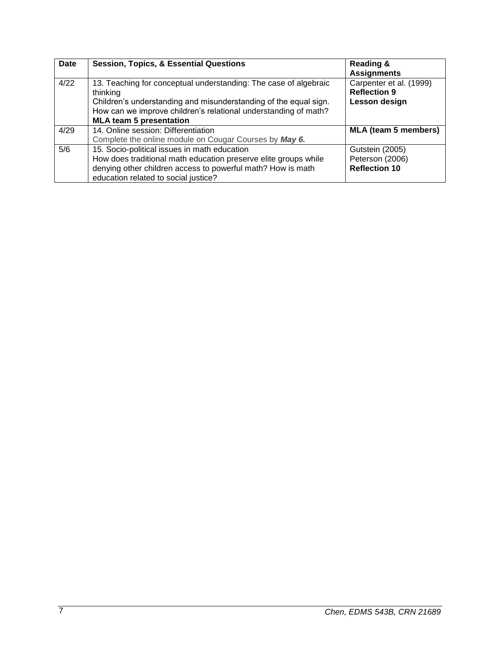| Date | <b>Session, Topics, &amp; Essential Questions</b>                                                                                                                                                                                                     | <b>Reading &amp;</b><br><b>Assignments</b>                      |
|------|-------------------------------------------------------------------------------------------------------------------------------------------------------------------------------------------------------------------------------------------------------|-----------------------------------------------------------------|
| 4/22 | 13. Teaching for conceptual understanding: The case of algebraic<br>thinking<br>Children's understanding and misunderstanding of the equal sign.<br>How can we improve children's relational understanding of math?<br><b>MLA team 5 presentation</b> | Carpenter et al. (1999)<br><b>Reflection 9</b><br>Lesson design |
|      |                                                                                                                                                                                                                                                       |                                                                 |
| 4/29 | 14. Online session: Differentiation                                                                                                                                                                                                                   | <b>MLA (team 5 members)</b>                                     |
|      | Complete the online module on Cougar Courses by May 6.                                                                                                                                                                                                |                                                                 |
| 5/6  | 15. Socio-political issues in math education                                                                                                                                                                                                          | Gutstein (2005)                                                 |
|      | How does traditional math education preserve elite groups while                                                                                                                                                                                       | Peterson (2006)                                                 |
|      | denying other children access to powerful math? How is math                                                                                                                                                                                           | <b>Reflection 10</b>                                            |
|      | education related to social justice?                                                                                                                                                                                                                  |                                                                 |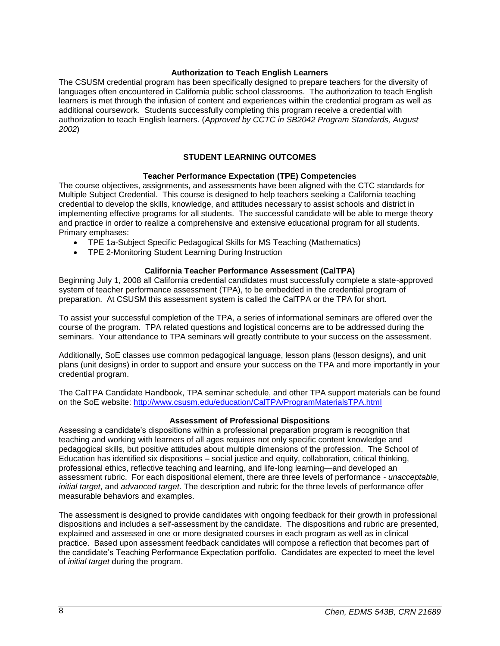# **Authorization to Teach English Learners**

The CSUSM credential program has been specifically designed to prepare teachers for the diversity of languages often encountered in California public school classrooms. The authorization to teach English learners is met through the infusion of content and experiences within the credential program as well as additional coursework. Students successfully completing this program receive a credential with authorization to teach English learners. (*Approved by CCTC in SB2042 Program Standards, August 2002*)

# **STUDENT LEARNING OUTCOMES**

### **Teacher Performance Expectation (TPE) Competencies**

The course objectives, assignments, and assessments have been aligned with the CTC standards for Multiple Subject Credential. This course is designed to help teachers seeking a California teaching credential to develop the skills, knowledge, and attitudes necessary to assist schools and district in implementing effective programs for all students. The successful candidate will be able to merge theory and practice in order to realize a comprehensive and extensive educational program for all students. Primary emphases:

- TPE 1a-Subject Specific Pedagogical Skills for MS Teaching (Mathematics)
- TPE 2-Monitoring Student Learning During Instruction

### **California Teacher Performance Assessment (CalTPA)**

Beginning July 1, 2008 all California credential candidates must successfully complete a state-approved system of teacher performance assessment (TPA), to be embedded in the credential program of preparation. At CSUSM this assessment system is called the CalTPA or the TPA for short.

To assist your successful completion of the TPA, a series of informational seminars are offered over the course of the program. TPA related questions and logistical concerns are to be addressed during the seminars. Your attendance to TPA seminars will greatly contribute to your success on the assessment.

Additionally, SoE classes use common pedagogical language, lesson plans (lesson designs), and unit plans (unit designs) in order to support and ensure your success on the TPA and more importantly in your credential program.

The CalTPA Candidate Handbook, TPA seminar schedule, and other TPA support materials can be found on the SoE website:<http://www.csusm.edu/education/CalTPA/ProgramMaterialsTPA.html>

#### **Assessment of Professional Dispositions**

Assessing a candidate's dispositions within a professional preparation program is recognition that teaching and working with learners of all ages requires not only specific content knowledge and pedagogical skills, but positive attitudes about multiple dimensions of the profession. The School of Education has identified six dispositions – social justice and equity, collaboration, critical thinking, professional ethics, reflective teaching and learning, and life-long learning—and developed an assessment rubric. For each dispositional element, there are three levels of performance - *unacceptable*, *initial target*, and *advanced target*. The description and rubric for the three levels of performance offer measurable behaviors and examples.

The assessment is designed to provide candidates with ongoing feedback for their growth in professional dispositions and includes a self-assessment by the candidate. The dispositions and rubric are presented, explained and assessed in one or more designated courses in each program as well as in clinical practice. Based upon assessment feedback candidates will compose a reflection that becomes part of the candidate's Teaching Performance Expectation portfolio. Candidates are expected to meet the level of *initial target* during the program.